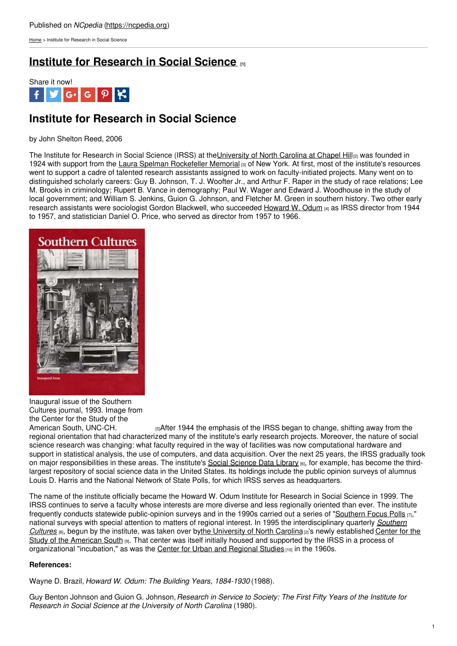[Home](https://ncpedia.org/) > Institute for Research in Social Science

## **Institute for [Research](https://ncpedia.org/institute-research-social-science) in Social Science [1]**



# **Institute for Research in Social Science**

by John Shelton Reed, 2006

The Institute for Research in Social Science (IRSS) at the University of North Carolina at Chapel Hill<sub>[2]</sub> was founded in 1924 with support from the Laura Spelman [Rockefeller](http://www.rockarch.org/collections/rockorgs/lsrm.php) Memorial [3] of New York. At first, most of the institute's resources went to support a cadre of talented research assistants assigned to work on faculty-initiated projects. Many went on to distinguished scholarly careers: Guy B. Johnson, T. J. Woofter Jr., and Arthur F. Raper in the study of race relations; Lee M. Brooks in criminology; Rupert B. Vance in demography; Paul W. Wager and Edward J. Woodhouse in the study of local government; and William S. Jenkins, Guion G. Johnson, and Fletcher M. Green in southern history. Two other early research assistants were sociologist Gordon [Blackwell,](http://www.social9.com) who succeeded [Howard](http://www.irss.unc.edu/odum/contentSubpage.jsp?nodeid=326) W. Odum [4] as IRSS director from 1944 to 1957, and statistician Daniel O. Price, who served as director from 1957 to 1966.



Inaugural issue of the Southern Cultures journal, 1993. Image from the Center for the Study of the<br>American South, UNC-CH.

 $_{5}$ After 1944 the emphasis of the IRSS began to change, shifting away from the regional orientation that had characterized many of the institute's early research projects. Moreover, the nature of social science research was changing: what faculty required in the way of facilities was now computational hardware and support in statistical analysis, the use of computers, and data acquisition. Over the next 25 years, the IRSS gradually took on major responsibilities in these areas. The institute's Social [Science](http://www.irss.unc.edu/odum/contentPrimary.jsp?nodeid=7) Data Library [6], for example, has become the thirdlargest repository of social science data in the United States. Its holdings include the public opinion surveys of alumnus Louis D. Harris and the National Network of State Polls, for which IRSS serves as headquarters.

The name of the institute officially became the Howard W. Odum Institute for Research in Social Science in 1999. The IRSS continues to serve a faculty whose interests are more diverse and less regionally oriented than ever. The institute frequently conducts statewide public-opinion surveys and in the 1990s carried out a series of ["Southern](http://www.irss.unc.edu/odum/contentSubpage.jsp?nodeid=82) Focus Polls  $\pi$ ," national surveys with special attention to matters of regional interest. In 1995 the [interdisciplinary](http://www.uncsouth.org/content/news/news-item/southern_culturess_entire_catalog_now_available_online_through_project_muse/) quarterly *Southern Cultures* [8], begun by the institute, was taken over bythe [University](https://ncpedia.org/university-north-carolina-chapel-hi) of North Carolina<sup>[2]'</sup>s newly [established](http://www.uncsouth.org/) Center for the Study of the American South [9]. That center was itself initially housed and supported by the IRSS in a process of organizational "incubation," as was the Center for Urban and [Regional](http://curs.unc.edu/) Studies  $[10]$  in the 1960s.

### **References:**

Wayne D. Brazil, *Howard W. Odum: The Building Years, 1884-1930* (1988).

Guy Benton Johnson and Guion G. Johnson,*Research in Service to Society: The First Fifty Years of the Institute for Research in Social Science at the University of North Carolina* (1980).